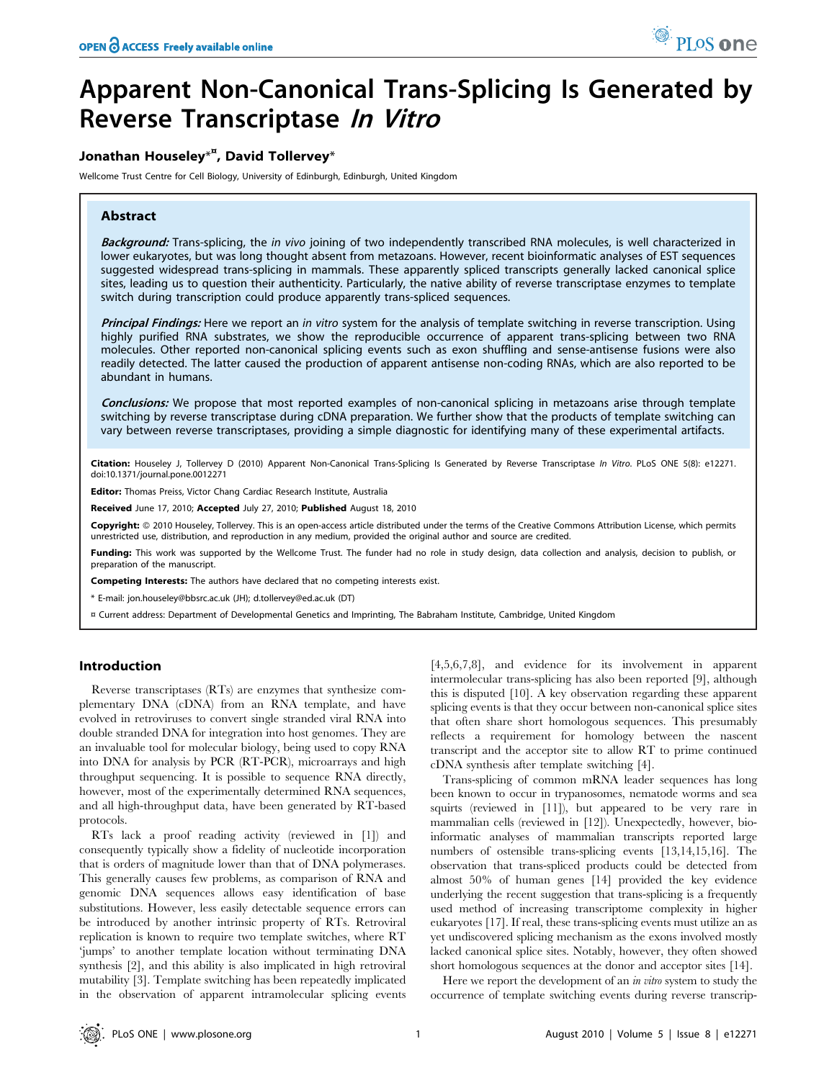# Apparent Non-Canonical Trans-Splicing Is Generated by Reverse Transcriptase In Vitro

## Jonathan Houseley<sup>\*¤</sup>, David Tollervey<sup>\*</sup>

Wellcome Trust Centre for Cell Biology, University of Edinburgh, Edinburgh, United Kingdom

## Abstract

Background: Trans-splicing, the in vivo joining of two independently transcribed RNA molecules, is well characterized in lower eukaryotes, but was long thought absent from metazoans. However, recent bioinformatic analyses of EST sequences suggested widespread trans-splicing in mammals. These apparently spliced transcripts generally lacked canonical splice sites, leading us to question their authenticity. Particularly, the native ability of reverse transcriptase enzymes to template switch during transcription could produce apparently trans-spliced sequences.

Principal Findings: Here we report an in vitro system for the analysis of template switching in reverse transcription. Using highly purified RNA substrates, we show the reproducible occurrence of apparent trans-splicing between two RNA molecules. Other reported non-canonical splicing events such as exon shuffling and sense-antisense fusions were also readily detected. The latter caused the production of apparent antisense non-coding RNAs, which are also reported to be abundant in humans.

Conclusions: We propose that most reported examples of non-canonical splicing in metazoans arise through template switching by reverse transcriptase during cDNA preparation. We further show that the products of template switching can vary between reverse transcriptases, providing a simple diagnostic for identifying many of these experimental artifacts.

Citation: Houseley J, Tollervey D (2010) Apparent Non-Canonical Trans-Splicing Is Generated by Reverse Transcriptase In Vitro. PLoS ONE 5(8): e12271. doi:10.1371/journal.pone.0012271

Editor: Thomas Preiss, Victor Chang Cardiac Research Institute, Australia

Received June 17, 2010; Accepted July 27, 2010; Published August 18, 2010

**Copyright:** © 2010 Houseley, Tollervey. This is an open-access article distributed under the terms of the Creative Commons Attribution License, which permits unrestricted use, distribution, and reproduction in any medium, provided the original author and source are credited.

Funding: This work was supported by the Wellcome Trust. The funder had no role in study design, data collection and analysis, decision to publish, or preparation of the manuscript.

Competing Interests: The authors have declared that no competing interests exist.

\* E-mail: jon.houseley@bbsrc.ac.uk (JH); d.tollervey@ed.ac.uk (DT)

¤ Current address: Department of Developmental Genetics and Imprinting, The Babraham Institute, Cambridge, United Kingdom

## Introduction

Reverse transcriptases (RTs) are enzymes that synthesize complementary DNA (cDNA) from an RNA template, and have evolved in retroviruses to convert single stranded viral RNA into double stranded DNA for integration into host genomes. They are an invaluable tool for molecular biology, being used to copy RNA into DNA for analysis by PCR (RT-PCR), microarrays and high throughput sequencing. It is possible to sequence RNA directly, however, most of the experimentally determined RNA sequences, and all high-throughput data, have been generated by RT-based protocols.

RTs lack a proof reading activity (reviewed in [1]) and consequently typically show a fidelity of nucleotide incorporation that is orders of magnitude lower than that of DNA polymerases. This generally causes few problems, as comparison of RNA and genomic DNA sequences allows easy identification of base substitutions. However, less easily detectable sequence errors can be introduced by another intrinsic property of RTs. Retroviral replication is known to require two template switches, where RT 'jumps' to another template location without terminating DNA synthesis [2], and this ability is also implicated in high retroviral mutability [3]. Template switching has been repeatedly implicated in the observation of apparent intramolecular splicing events

[4,5,6,7,8], and evidence for its involvement in apparent intermolecular trans-splicing has also been reported [9], although this is disputed [10]. A key observation regarding these apparent splicing events is that they occur between non-canonical splice sites that often share short homologous sequences. This presumably reflects a requirement for homology between the nascent transcript and the acceptor site to allow RT to prime continued cDNA synthesis after template switching [4].

Trans-splicing of common mRNA leader sequences has long been known to occur in trypanosomes, nematode worms and sea squirts (reviewed in [11]), but appeared to be very rare in mammalian cells (reviewed in [12]). Unexpectedly, however, bioinformatic analyses of mammalian transcripts reported large numbers of ostensible trans-splicing events [13,14,15,16]. The observation that trans-spliced products could be detected from almost 50% of human genes [14] provided the key evidence underlying the recent suggestion that trans-splicing is a frequently used method of increasing transcriptome complexity in higher eukaryotes [17]. If real, these trans-splicing events must utilize an as yet undiscovered splicing mechanism as the exons involved mostly lacked canonical splice sites. Notably, however, they often showed short homologous sequences at the donor and acceptor sites [14].

Here we report the development of an *in vitro* system to study the occurrence of template switching events during reverse transcrip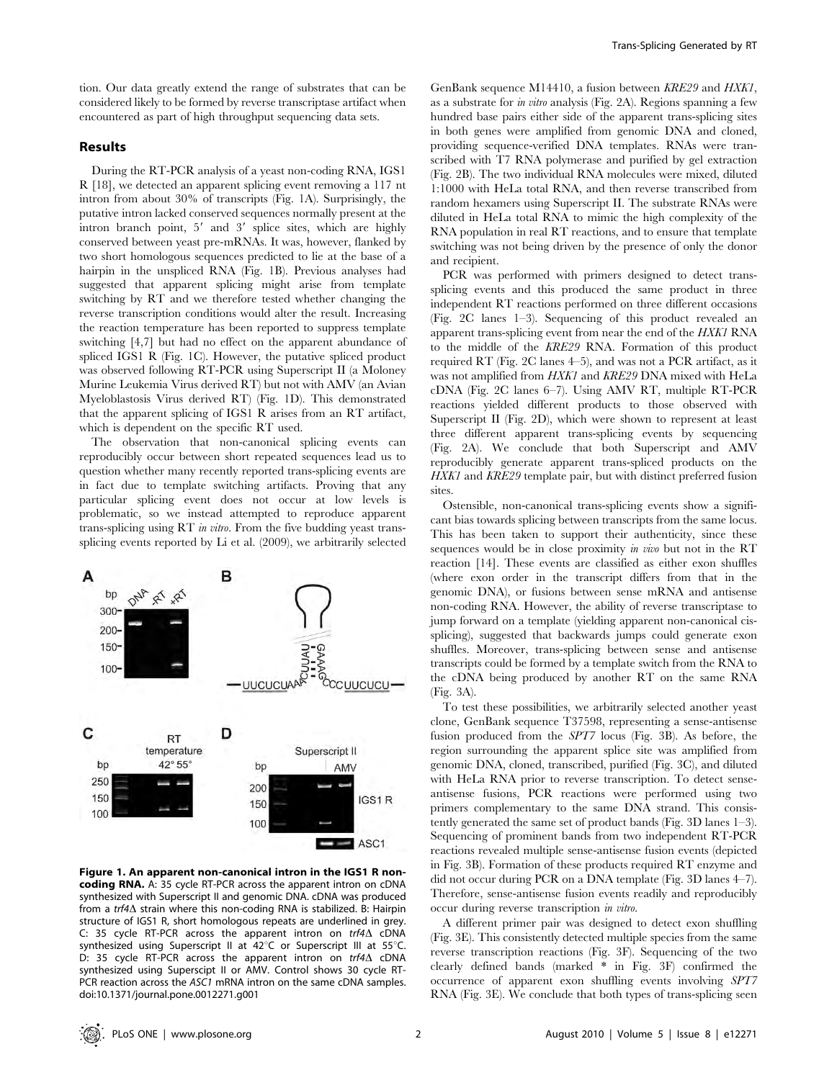tion. Our data greatly extend the range of substrates that can be considered likely to be formed by reverse transcriptase artifact when encountered as part of high throughput sequencing data sets.

## Results

During the RT-PCR analysis of a yeast non-coding RNA, IGS1 R [18], we detected an apparent splicing event removing a 117 nt intron from about 30% of transcripts (Fig. 1A). Surprisingly, the putative intron lacked conserved sequences normally present at the intron branch point, 5' and 3' splice sites, which are highly conserved between yeast pre-mRNAs. It was, however, flanked by two short homologous sequences predicted to lie at the base of a hairpin in the unspliced RNA (Fig. 1B). Previous analyses had suggested that apparent splicing might arise from template switching by RT and we therefore tested whether changing the reverse transcription conditions would alter the result. Increasing the reaction temperature has been reported to suppress template switching [4,7] but had no effect on the apparent abundance of spliced IGS1 R (Fig. 1C). However, the putative spliced product was observed following RT-PCR using Superscript II (a Moloney Murine Leukemia Virus derived RT) but not with AMV (an Avian Myeloblastosis Virus derived RT) (Fig. 1D). This demonstrated that the apparent splicing of IGS1 R arises from an RT artifact, which is dependent on the specific RT used.

The observation that non-canonical splicing events can reproducibly occur between short repeated sequences lead us to question whether many recently reported trans-splicing events are in fact due to template switching artifacts. Proving that any particular splicing event does not occur at low levels is problematic, so we instead attempted to reproduce apparent trans-splicing using RT in vitro. From the five budding yeast transsplicing events reported by Li et al. (2009), we arbitrarily selected



Figure 1. An apparent non-canonical intron in the IGS1 R noncoding RNA. A: 35 cycle RT-PCR across the apparent intron on cDNA synthesized with Superscript II and genomic DNA. cDNA was produced from a trf4 $\Delta$  strain where this non-coding RNA is stabilized. B: Hairpin structure of IGS1 R, short homologous repeats are underlined in grey. C: 35 cycle RT-PCR across the apparent intron on  $trf4\Delta$  cDNA synthesized using Superscript II at  $42^{\circ}$ C or Superscript III at 55 $^{\circ}$ C. D: 35 cycle RT-PCR across the apparent intron on  $trf4\Delta$  cDNA synthesized using Superscipt II or AMV. Control shows 30 cycle RT-PCR reaction across the ASC1 mRNA intron on the same cDNA samples. doi:10.1371/journal.pone.0012271.g001

GenBank sequence M14410, a fusion between KRE29 and HXK1, as a substrate for in vitro analysis (Fig. 2A). Regions spanning a few hundred base pairs either side of the apparent trans-splicing sites in both genes were amplified from genomic DNA and cloned, providing sequence-verified DNA templates. RNAs were transcribed with T7 RNA polymerase and purified by gel extraction (Fig. 2B). The two individual RNA molecules were mixed, diluted 1:1000 with HeLa total RNA, and then reverse transcribed from random hexamers using Superscript II. The substrate RNAs were diluted in HeLa total RNA to mimic the high complexity of the RNA population in real RT reactions, and to ensure that template switching was not being driven by the presence of only the donor and recipient.

PCR was performed with primers designed to detect transsplicing events and this produced the same product in three independent RT reactions performed on three different occasions (Fig. 2C lanes 1–3). Sequencing of this product revealed an apparent trans-splicing event from near the end of the HXK1 RNA to the middle of the KRE29 RNA. Formation of this product required RT (Fig. 2C lanes 4–5), and was not a PCR artifact, as it was not amplified from HXK1 and KRE29 DNA mixed with HeLa cDNA (Fig. 2C lanes 6–7). Using AMV RT, multiple RT-PCR reactions yielded different products to those observed with Superscript II (Fig. 2D), which were shown to represent at least three different apparent trans-splicing events by sequencing (Fig. 2A). We conclude that both Superscript and AMV reproducibly generate apparent trans-spliced products on the HXK1 and KRE29 template pair, but with distinct preferred fusion sites.

Ostensible, non-canonical trans-splicing events show a significant bias towards splicing between transcripts from the same locus. This has been taken to support their authenticity, since these sequences would be in close proximity in vivo but not in the RT reaction [14]. These events are classified as either exon shuffles (where exon order in the transcript differs from that in the genomic DNA), or fusions between sense mRNA and antisense non-coding RNA. However, the ability of reverse transcriptase to jump forward on a template (yielding apparent non-canonical cissplicing), suggested that backwards jumps could generate exon shuffles. Moreover, trans-splicing between sense and antisense transcripts could be formed by a template switch from the RNA to the cDNA being produced by another RT on the same RNA (Fig. 3A).

To test these possibilities, we arbitrarily selected another yeast clone, GenBank sequence T37598, representing a sense-antisense fusion produced from the SPT7 locus (Fig. 3B). As before, the region surrounding the apparent splice site was amplified from genomic DNA, cloned, transcribed, purified (Fig. 3C), and diluted with HeLa RNA prior to reverse transcription. To detect senseantisense fusions, PCR reactions were performed using two primers complementary to the same DNA strand. This consistently generated the same set of product bands (Fig. 3D lanes 1–3). Sequencing of prominent bands from two independent RT-PCR reactions revealed multiple sense-antisense fusion events (depicted in Fig. 3B). Formation of these products required RT enzyme and did not occur during PCR on a DNA template (Fig. 3D lanes 4–7). Therefore, sense-antisense fusion events readily and reproducibly occur during reverse transcription in vitro.

A different primer pair was designed to detect exon shuffling (Fig. 3E). This consistently detected multiple species from the same reverse transcription reactions (Fig. 3F). Sequencing of the two clearly defined bands (marked \* in Fig. 3F) confirmed the occurrence of apparent exon shuffling events involving SPT7 RNA (Fig. 3E). We conclude that both types of trans-splicing seen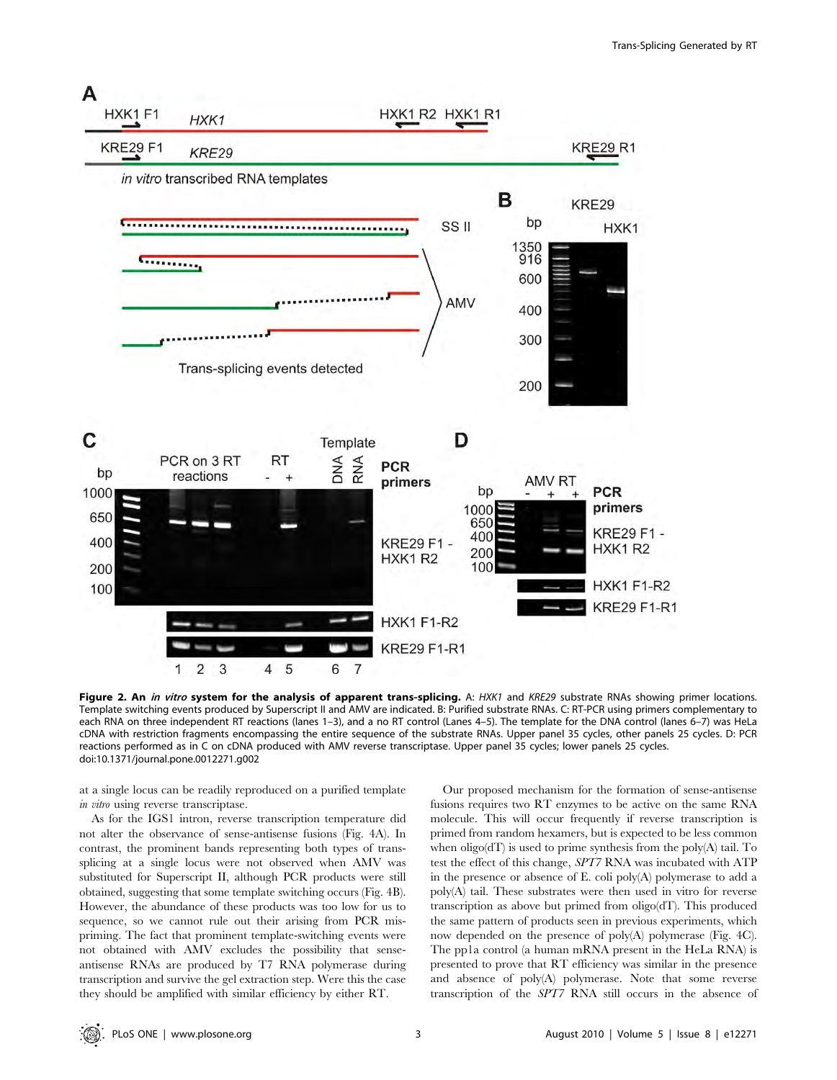

Figure 2. An in vitro system for the analysis of apparent trans-splicing. A: HXK1 and KRE29 substrate RNAs showing primer locations. Template switching events produced by Superscript II and AMV are indicated. B: Purified substrate RNAs. C: RT-PCR using primers complementary to each RNA on three independent RT reactions (lanes 1–3), and a no RT control (Lanes 4–5). The template for the DNA control (lanes 6–7) was HeLa cDNA with restriction fragments encompassing the entire sequence of the substrate RNAs. Upper panel 35 cycles, other panels 25 cycles. D: PCR reactions performed as in C on cDNA produced with AMV reverse transcriptase. Upper panel 35 cycles; lower panels 25 cycles. doi:10.1371/journal.pone.0012271.g002

at a single locus can be readily reproduced on a purified template in vitro using reverse transcriptase.

As for the IGS1 intron, reverse transcription temperature did not alter the observance of sense-antisense fusions (Fig. 4A). In contrast, the prominent bands representing both types of transsplicing at a single locus were not observed when AMV was substituted for Superscript II, although PCR products were still obtained, suggesting that some template switching occurs (Fig. 4B). However, the abundance of these products was too low for us to sequence, so we cannot rule out their arising from PCR mispriming. The fact that prominent template-switching events were not obtained with AMV excludes the possibility that senseantisense RNAs are produced by T7 RNA polymerase during transcription and survive the gel extraction step. Were this the case they should be amplified with similar efficiency by either RT.

Our proposed mechanism for the formation of sense-antisense fusions requires two RT enzymes to be active on the same RNA molecule. This will occur frequently if reverse transcription is primed from random hexamers, but is expected to be less common when  $\text{oligo}(dT)$  is used to prime synthesis from the  $\text{poly}(A)$  tail. To test the effect of this change, SPT7 RNA was incubated with ATP in the presence or absence of E. coli poly(A) polymerase to add a poly(A) tail. These substrates were then used in vitro for reverse transcription as above but primed from oligo(dT). This produced the same pattern of products seen in previous experiments, which now depended on the presence of poly(A) polymerase (Fig. 4C). The pp1a control (a human mRNA present in the HeLa RNA) is presented to prove that RT efficiency was similar in the presence and absence of poly(A) polymerase. Note that some reverse transcription of the SPT7 RNA still occurs in the absence of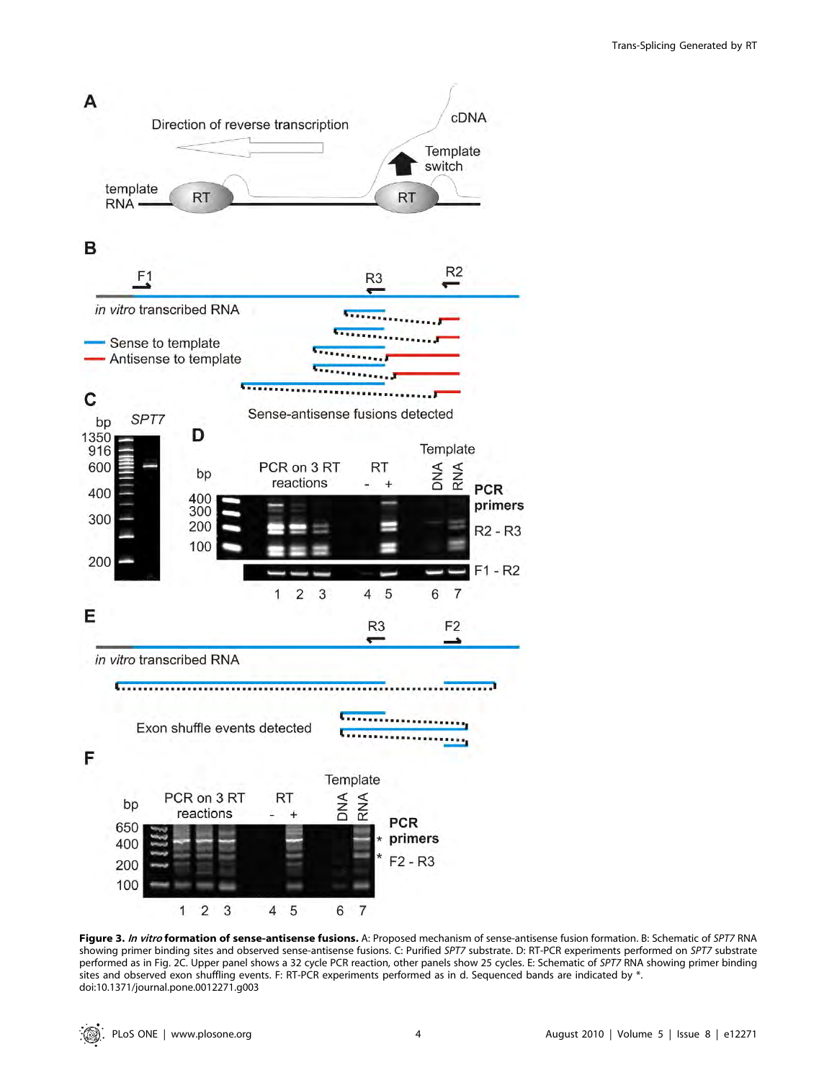

Figure 3. In vitro formation of sense-antisense fusions. A: Proposed mechanism of sense-antisense fusion formation. B: Schematic of SPT7 RNA showing primer binding sites and observed sense-antisense fusions. C: Purified SPT7 substrate. D: RT-PCR experiments performed on SPT7 substrate performed as in Fig. 2C. Upper panel shows a 32 cycle PCR reaction, other panels show 25 cycles. E: Schematic of SPT7 RNA showing primer binding sites and observed exon shuffling events. F: RT-PCR experiments performed as in d. Sequenced bands are indicated by \*. doi:10.1371/journal.pone.0012271.g003

 $\cdot \circledR$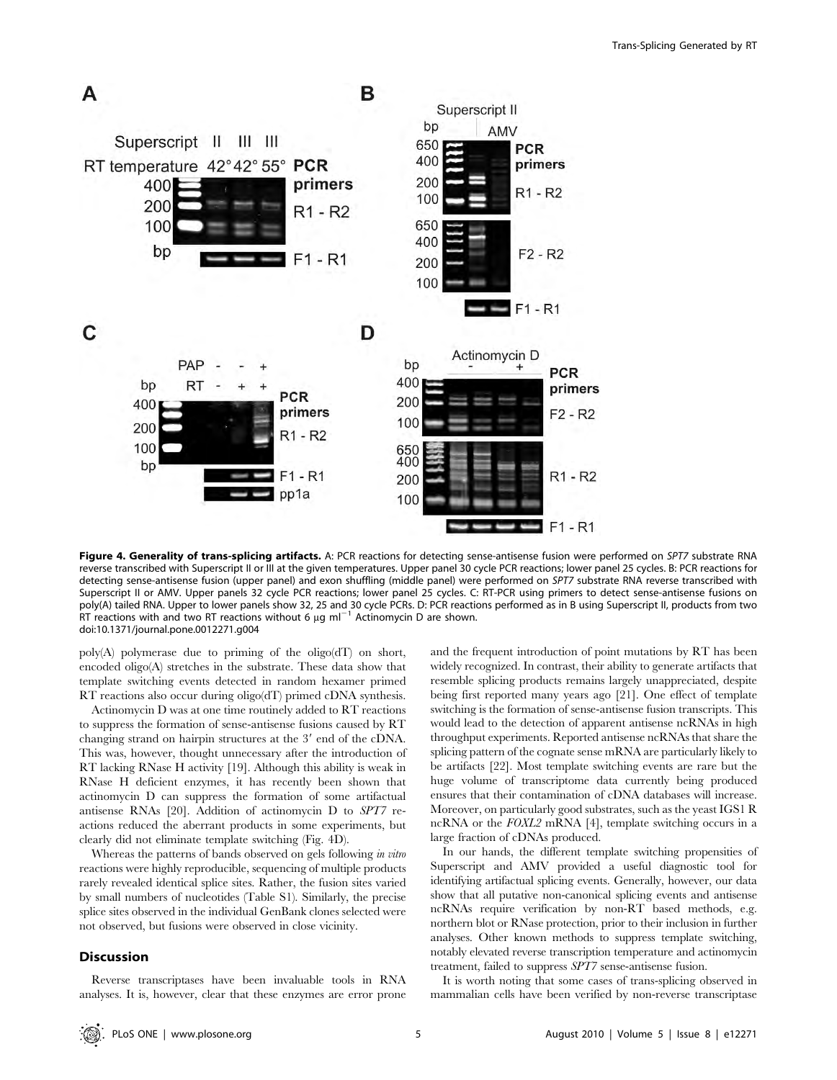

Figure 4. Generality of trans-splicing artifacts. A: PCR reactions for detecting sense-antisense fusion were performed on SPT7 substrate RNA reverse transcribed with Superscript II or III at the given temperatures. Upper panel 30 cycle PCR reactions; lower panel 25 cycles. B: PCR reactions for detecting sense-antisense fusion (upper panel) and exon shuffling (middle panel) were performed on SPT7 substrate RNA reverse transcribed with Superscript II or AMV. Upper panels 32 cycle PCR reactions; lower panel 25 cycles. C: RT-PCR using primers to detect sense-antisense fusions on poly(A) tailed RNA. Upper to lower panels show 32, 25 and 30 cycle PCRs. D: PCR reactions performed as in B using Superscript II, products from two RT reactions with and two RT reactions without 6  $\mu$ g ml<sup>-1</sup> Actinomycin D are shown. doi:10.1371/journal.pone.0012271.g004

poly(A) polymerase due to priming of the oligo(dT) on short, encoded oligo(A) stretches in the substrate. These data show that template switching events detected in random hexamer primed RT reactions also occur during oligo(dT) primed cDNA synthesis.

Actinomycin D was at one time routinely added to RT reactions to suppress the formation of sense-antisense fusions caused by RT changing strand on hairpin structures at the 3' end of the cDNA. This was, however, thought unnecessary after the introduction of RT lacking RNase H activity [19]. Although this ability is weak in RNase H deficient enzymes, it has recently been shown that actinomycin D can suppress the formation of some artifactual antisense RNAs [20]. Addition of actinomycin D to SPT7 reactions reduced the aberrant products in some experiments, but clearly did not eliminate template switching (Fig. 4D).

Whereas the patterns of bands observed on gels following in vitro reactions were highly reproducible, sequencing of multiple products rarely revealed identical splice sites. Rather, the fusion sites varied by small numbers of nucleotides (Table S1). Similarly, the precise splice sites observed in the individual GenBank clones selected were not observed, but fusions were observed in close vicinity.

#### **Discussion**

Reverse transcriptases have been invaluable tools in RNA analyses. It is, however, clear that these enzymes are error prone and the frequent introduction of point mutations by RT has been widely recognized. In contrast, their ability to generate artifacts that resemble splicing products remains largely unappreciated, despite being first reported many years ago [21]. One effect of template switching is the formation of sense-antisense fusion transcripts. This would lead to the detection of apparent antisense ncRNAs in high throughput experiments. Reported antisense ncRNAs that share the splicing pattern of the cognate sense mRNA are particularly likely to be artifacts [22]. Most template switching events are rare but the huge volume of transcriptome data currently being produced ensures that their contamination of cDNA databases will increase. Moreover, on particularly good substrates, such as the yeast IGS1 R ncRNA or the FOXL2 mRNA [4], template switching occurs in a large fraction of cDNAs produced.

In our hands, the different template switching propensities of Superscript and AMV provided a useful diagnostic tool for identifying artifactual splicing events. Generally, however, our data show that all putative non-canonical splicing events and antisense ncRNAs require verification by non-RT based methods, e.g. northern blot or RNase protection, prior to their inclusion in further analyses. Other known methods to suppress template switching, notably elevated reverse transcription temperature and actinomycin treatment, failed to suppress SPT7 sense-antisense fusion.

It is worth noting that some cases of trans-splicing observed in mammalian cells have been verified by non-reverse transcriptase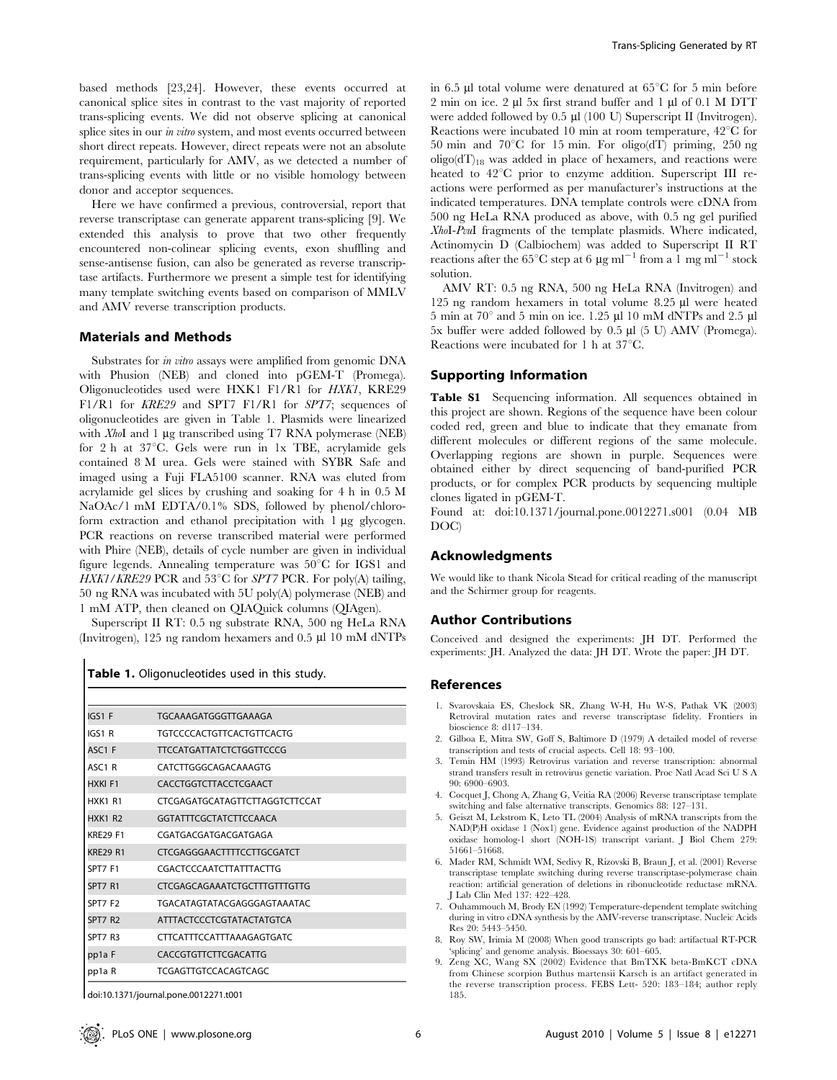based methods [23,24]. However, these events occurred at canonical splice sites in contrast to the vast majority of reported trans-splicing events. We did not observe splicing at canonical splice sites in our in vitro system, and most events occurred between short direct repeats. However, direct repeats were not an absolute requirement, particularly for AMV, as we detected a number of trans-splicing events with little or no visible homology between donor and acceptor sequences.

Here we have confirmed a previous, controversial, report that reverse transcriptase can generate apparent trans-splicing [9]. We extended this analysis to prove that two other frequently encountered non-colinear splicing events, exon shuffling and sense-antisense fusion, can also be generated as reverse transcriptase artifacts. Furthermore we present a simple test for identifying many template switching events based on comparison of MMLV and AMV reverse transcription products.

#### Materials and Methods

Substrates for *in vitro* assays were amplified from genomic DNA with Phusion (NEB) and cloned into pGEM-T (Promega). Oligonucleotides used were HXK1 F1/R1 for HXK1, KRE29 F1/R1 for KRE29 and SPT7 F1/R1 for SPT7; sequences of oligonucleotides are given in Table 1. Plasmids were linearized with XhoI and 1  $\mu$ g transcribed using T7 RNA polymerase (NEB) for 2 h at  $37^{\circ}$ C. Gels were run in 1x TBE, acrylamide gels contained 8 M urea. Gels were stained with SYBR Safe and imaged using a Fuji FLA5100 scanner. RNA was eluted from acrylamide gel slices by crushing and soaking for 4 h in 0.5 M NaOAc/1 mM EDTA/0.1% SDS, followed by phenol/chloroform extraction and ethanol precipitation with  $1 \mu$ g glycogen. PCR reactions on reverse transcribed material were performed with Phire (NEB), details of cycle number are given in individual figure legends. Annealing temperature was  $50^{\circ}$ C for IGS1 and  $HXX1/KRE29$  PCR and 53°C for SPT7 PCR. For poly(A) tailing, 50 ng RNA was incubated with 5U poly(A) polymerase (NEB) and 1 mM ATP, then cleaned on QIAQuick columns (QIAgen).

Superscript II RT: 0.5 ng substrate RNA, 500 ng HeLa RNA (Invitrogen), 125 ng random hexamers and 0.5 µl 10 mM dNTPs

Table 1. Oligonucleotides used in this study.

| <b>IGS1 F</b>      | TGCAAAGATGGGTTGAAAGA                  |
|--------------------|---------------------------------------|
| <b>IGS1 R</b>      | <b>TGTCCCCACTGTTCACTGTTCACTG</b>      |
| ASC1 F             | <b>TTCCATGATTATCTCTGGTTCCCG</b>       |
| ASC1 R             | CATCTTGGGCAGACAAAGTG                  |
| HXKI F1            | CACCTGGTCTTACCTCGAACT                 |
| <b>HXK1 R1</b>     | <b>CTCGAGATGCATAGTTCTTAGGTCTTCCAT</b> |
| <b>HXK1 R2</b>     | <b>GGTATTTCGCTATCTTCCAACA</b>         |
| <b>KRF29 F1</b>    | CGATGACGATGACGATGAGA                  |
| <b>KRF29 R1</b>    | <b>CTCGAGGGAACTTTTCCTTGCGATCT</b>     |
| SPT7 F1            | CGACTCCCAATCTTATTTACTTG               |
| SPT7 <sub>R1</sub> | <b>CTCGAGCAGAAATCTGCTTTGTTTGTTG</b>   |
| SPT7 F2            | <b>TGACATAGTATACGAGGGAGTAAATAC</b>    |
| SPT7 R2            | <b>ATTTACTCCCTCGTATACTATGTCA</b>      |
| SPT7 R3            | <b>CITCATTTCCATTTAAAGAGTGATC</b>      |
| pp1aF              | CACCGTGTTCTTCGACATTG                  |
| pp1aR              | <b>TCGAGTTGTCCACAGTCAGC</b>           |
|                    |                                       |

in 6.5  $\mu$ l total volume were denatured at 65 $\mathrm{^{\circ}C}$  for 5 min before 2 min on ice. 2  $\mu$ l 5x first strand buffer and 1  $\mu$ l of 0.1 M DTT were added followed by 0.5 µl (100 U) Superscript II (Invitrogen). Reactions were incubated 10 min at room temperature,  $42^{\circ}$ C for 50 min and 70 $\degree$ C for 15 min. For oligo(dT) priming, 250 ng  $oligo(dT)_{18}$  was added in place of hexamers, and reactions were heated to 42°C prior to enzyme addition. Superscript III reactions were performed as per manufacturer's instructions at the indicated temperatures. DNA template controls were cDNA from 500 ng HeLa RNA produced as above, with 0.5 ng gel purified XhoI-PvuI fragments of the template plasmids. Where indicated, Actinomycin D (Calbiochem) was added to Superscript II RT reactions after the 65<sup>°</sup>C step at 6  $\mu$ g ml<sup>-1</sup> from a 1 mg ml<sup>-1</sup> stock solution.

AMV RT: 0.5 ng RNA, 500 ng HeLa RNA (Invitrogen) and 125 ng random hexamers in total volume 8.25 ml were heated 5 min at  $70^{\circ}$  and 5 min on ice. 1.25 µl 10 mM dNTPs and 2.5 µl 5x buffer were added followed by 0.5 ml (5 U) AMV (Promega). Reactions were incubated for 1 h at  $37^{\circ}$ C.

## Supporting Information

Table S1 Sequencing information. All sequences obtained in this project are shown. Regions of the sequence have been colour coded red, green and blue to indicate that they emanate from different molecules or different regions of the same molecule. Overlapping regions are shown in purple. Sequences were obtained either by direct sequencing of band-purified PCR products, or for complex PCR products by sequencing multiple clones ligated in pGEM-T.

Found at: doi:10.1371/journal.pone.0012271.s001 (0.04 MB DOC)

### Acknowledgments

We would like to thank Nicola Stead for critical reading of the manuscript and the Schirmer group for reagents.

#### Author Contributions

Conceived and designed the experiments: JH DT. Performed the experiments: JH. Analyzed the data: JH DT. Wrote the paper: JH DT.

#### References

- 1. Svarovskaia ES, Cheslock SR, Zhang W-H, Hu W-S, Pathak VK (2003) Retroviral mutation rates and reverse transcriptase fidelity. Frontiers in bioscience 8: d117–134.
- 2. Gilboa E, Mitra SW, Goff S, Baltimore D (1979) A detailed model of reverse transcription and tests of crucial aspects. Cell 18: 93–100.
- 3. Temin HM (1993) Retrovirus variation and reverse transcription: abnormal strand transfers result in retrovirus genetic variation. Proc Natl Acad Sci U S A 90: 6900–6903.
- 4. Cocquet J, Chong A, Zhang G, Veitia RA (2006) Reverse transcriptase template switching and false alternative transcripts. Genomics 88: 127–131.
- 5. Geiszt M, Lekstrom K, Leto TL (2004) Analysis of mRNA transcripts from the NAD(P)H oxidase 1 (Nox1) gene. Evidence against production of the NADPH oxidase homolog-1 short (NOH-1S) transcript variant. J Biol Chem 279: 51661–51668.
- 6. Mader RM, Schmidt WM, Sedivy R, Rizovski B, Braun J, et al. (2001) Reverse transcriptase template switching during reverse transcriptase-polymerase chain reaction: artificial generation of deletions in ribonucleotide reductase mRNA. J Lab Clin Med 137: 422–428.
- 7. Ouhammouch M, Brody EN (1992) Temperature-dependent template switching during in vitro cDNA synthesis by the AMV-reverse transcriptase. Nucleic Acids Res 20: 5443–5450.
- 8. Roy SW, Irimia M (2008) When good transcripts go bad: artifactual RT-PCR 'splicing' and genome analysis. Bioessays 30: 601–605.
- 9. Zeng XC, Wang SX (2002) Evidence that BmTXK beta-BmKCT cDNA from Chinese scorpion Buthus martensii Karsch is an artifact generated in the reverse transcription process. FEBS Lett- 520: 183–184; author reply 185.

doi:10.1371/journal.pone.0012271.t001